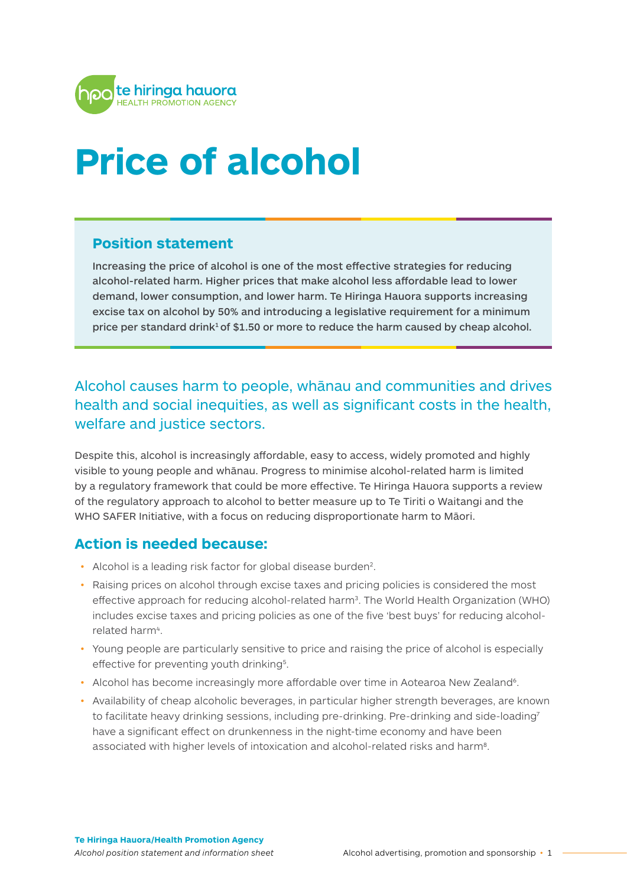

# **Price of alcohol**

#### **Position statement**

Increasing the price of alcohol is one of the most effective strategies for reducing alcohol-related harm. Higher prices that make alcohol less affordable lead to lower demand, lower consumption, and lower harm. Te Hiringa Hauora supports increasing excise tax on alcohol by 50% and introducing a legislative requirement for a minimum price per standard drink<sup>1</sup> of \$1.50 or more to reduce the harm caused by cheap alcohol.

## Alcohol causes harm to people, whānau and communities and drives health and social inequities, as well as significant costs in the health, welfare and justice sectors.

Despite this, alcohol is increasingly affordable, easy to access, widely promoted and highly visible to young people and whānau. Progress to minimise alcohol-related harm is limited by a regulatory framework that could be more effective. Te Hiringa Hauora supports a review of the regulatory approach to alcohol to better measure up to Te Tiriti o Waitangi and the WHO SAFER Initiative, with a focus on reducing disproportionate harm to Māori.

## **Action is needed because:**

- Alcohol is a leading risk factor for global disease burden<sup>2</sup>.
- Raising prices on alcohol through excise taxes and pricing policies is considered the most effective approach for reducing alcohol-related harm3. The World Health Organization (WHO) includes excise taxes and pricing policies as one of the five 'best buys' for reducing alcoholrelated harm4.
- Young people are particularly sensitive to price and raising the price of alcohol is especially effective for preventing youth drinking<sup>5</sup>.
- Alcohol has become increasingly more affordable over time in Aotearoa New Zealand<sup>6</sup>.
- Availability of cheap alcoholic beverages, in particular higher strength beverages, are known to facilitate heavy drinking sessions, including pre-drinking. Pre-drinking and side-loading7 have a significant effect on drunkenness in the night-time economy and have been associated with higher levels of intoxication and alcohol-related risks and harm8.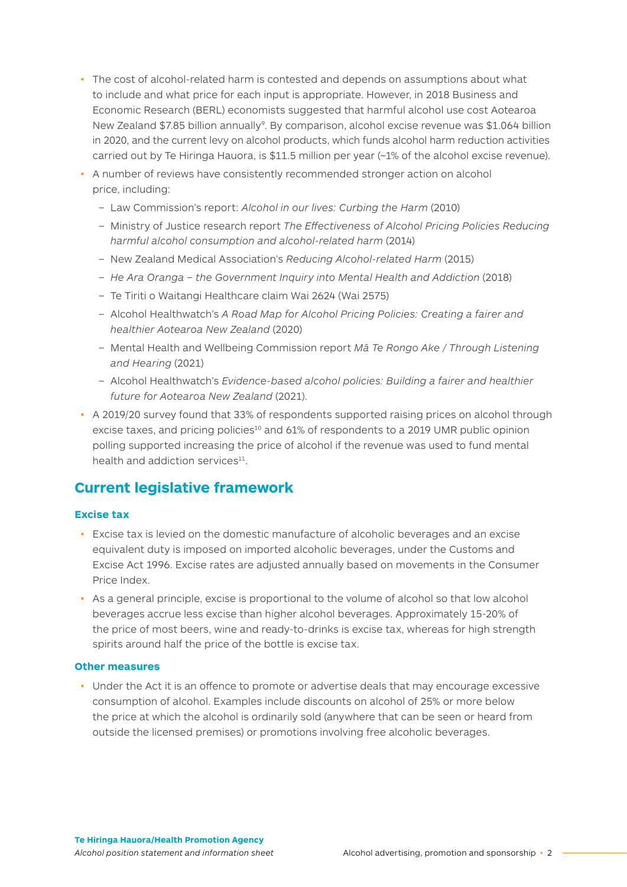- The cost of alcohol-related harm is contested and depends on assumptions about what to include and what price for each input is appropriate. However, in 2018 Business and Economic Research (BERL) economists suggested that harmful alcohol use cost Aotearoa New Zealand \$7.85 billion annually<sup>9</sup>. By comparison, alcohol excise revenue was \$1.064 billion in 2020, and the current levy on alcohol products, which funds alcohol harm reduction activities carried out by Te Hiringa Hauora, is \$11.5 million per year (~1% of the alcohol excise revenue).
- A number of reviews have consistently recommended stronger action on alcohol price, including:
	- Law Commission's report: *Alcohol in our lives: Curbing the Harm* (2010)
	- Ministry of Justice research report *The Effectiveness of Alcohol Pricing Policies Reducing harmful alcohol consumption and alcohol-related harm* (2014)
	- New Zealand Medical Association's *Reducing Alcohol-related Harm* (2015)
	- *He Ara Oranga the Government Inquiry into Mental Health and Addiction* (2018)
	- Te Tiriti o Waitangi Healthcare claim Wai 2624 (Wai 2575)
	- Alcohol Healthwatch's *A Road Map for Alcohol Pricing Policies: Creating a fairer and healthier Aotearoa New Zealand* (2020)
	- Mental Health and Wellbeing Commission report *Mā Te Rongo Ake / Through Listening and Hearing* (2021)
	- Alcohol Healthwatch's *Evidence-based alcohol policies: Building a fairer and healthier future for Aotearoa New Zealand* (2021).
- A 2019/20 survey found that 33% of respondents supported raising prices on alcohol through excise taxes, and pricing policies<sup>10</sup> and 61% of respondents to a 2019 UMR public opinion polling supported increasing the price of alcohol if the revenue was used to fund mental health and addiction services<sup>11</sup>.

## **Current legislative framework**

#### **Excise tax**

- Excise tax is levied on the domestic manufacture of alcoholic beverages and an excise equivalent duty is imposed on imported alcoholic beverages, under the Customs and Excise Act 1996. Excise rates are adjusted annually based on movements in the Consumer Price Index.
- As a general principle, excise is proportional to the volume of alcohol so that low alcohol beverages accrue less excise than higher alcohol beverages. Approximately 15-20% of the price of most beers, wine and ready-to-drinks is excise tax, whereas for high strength spirits around half the price of the bottle is excise tax.

#### **Other measures**

• Under the Act it is an offence to promote or advertise deals that may encourage excessive consumption of alcohol. Examples include discounts on alcohol of 25% or more below the price at which the alcohol is ordinarily sold (anywhere that can be seen or heard from outside the licensed premises) or promotions involving free alcoholic beverages.